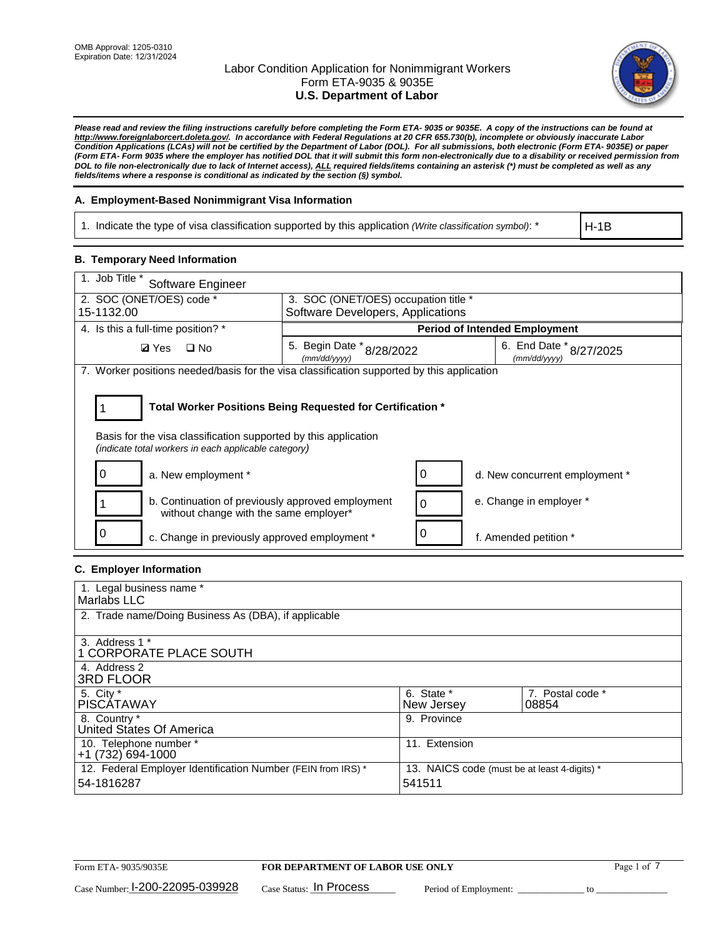

*Please read and review the filing instructions carefully before completing the Form ETA- 9035 or 9035E. A copy of the instructions can be found at http://www.foreignlaborcert.doleta.gov/. In accordance with Federal Regulations at 20 CFR 655.730(b), incomplete or obviously inaccurate Labor Condition Applications (LCAs) will not be certified by the Department of Labor (DOL). For all submissions, both electronic (Form ETA- 9035E) or paper (Form ETA- Form 9035 where the employer has notified DOL that it will submit this form non-electronically due to a disability or received permission from DOL to file non-electronically due to lack of Internet access), ALL required fields/items containing an asterisk (\*) must be completed as well as any fields/items where a response is conditional as indicated by the section (§) symbol.* 

## **A. Employment-Based Nonimmigrant Visa Information**

1. Indicate the type of visa classification supported by this application *(Write classification symbol)*: \*

H-1B

### **B. Temporary Need Information**

| 1. Job Title *<br>Software Engineer                                                                                                                                                   |                                                                           |                                         |  |  |  |  |
|---------------------------------------------------------------------------------------------------------------------------------------------------------------------------------------|---------------------------------------------------------------------------|-----------------------------------------|--|--|--|--|
| 2. SOC (ONET/OES) code *<br>15-1132.00                                                                                                                                                | 3. SOC (ONET/OES) occupation title *<br>Software Developers, Applications |                                         |  |  |  |  |
|                                                                                                                                                                                       |                                                                           |                                         |  |  |  |  |
| 4. Is this a full-time position? *                                                                                                                                                    |                                                                           | <b>Period of Intended Employment</b>    |  |  |  |  |
| <b>Ø</b> Yes<br>$\Box$ No                                                                                                                                                             | 5. Begin Date $*_{8/28/2022}$<br>(mm/dd/yyyy)                             | 6. End Date * 8/27/2025<br>(mm/dd/yyyy) |  |  |  |  |
| 7. Worker positions needed/basis for the visa classification supported by this application                                                                                            |                                                                           |                                         |  |  |  |  |
| Total Worker Positions Being Requested for Certification *<br>Basis for the visa classification supported by this application<br>(indicate total workers in each applicable category) |                                                                           |                                         |  |  |  |  |
| O<br>a. New employment *                                                                                                                                                              | O                                                                         | d. New concurrent employment *          |  |  |  |  |
| b. Continuation of previously approved employment<br>without change with the same employer*                                                                                           | $\Omega$                                                                  | e. Change in employer *                 |  |  |  |  |
| c. Change in previously approved employment *                                                                                                                                         |                                                                           | f. Amended petition *                   |  |  |  |  |

## **C. Employer Information**

| 1. Legal business name *                                                   |                                                        |                           |
|----------------------------------------------------------------------------|--------------------------------------------------------|---------------------------|
| Marlabs LLC                                                                |                                                        |                           |
| 2. Trade name/Doing Business As (DBA), if applicable                       |                                                        |                           |
| 3. Address 1 *<br>1 CORPORATE PLACE SOUTH<br>4. Address 2                  |                                                        |                           |
| <b>3RD FLOOR</b>                                                           |                                                        |                           |
| 5. City *<br><b>PISCÁTAWAY</b>                                             | 6. State *<br>New Jersey                               | 7. Postal code *<br>08854 |
| 8. Country *<br>United States Of America                                   | 9. Province                                            |                           |
| 10. Telephone number *<br>$+1(732)694-1000$                                | 11. Extension                                          |                           |
| 12. Federal Employer Identification Number (FEIN from IRS) *<br>54-1816287 | 13. NAICS code (must be at least 4-digits) *<br>541511 |                           |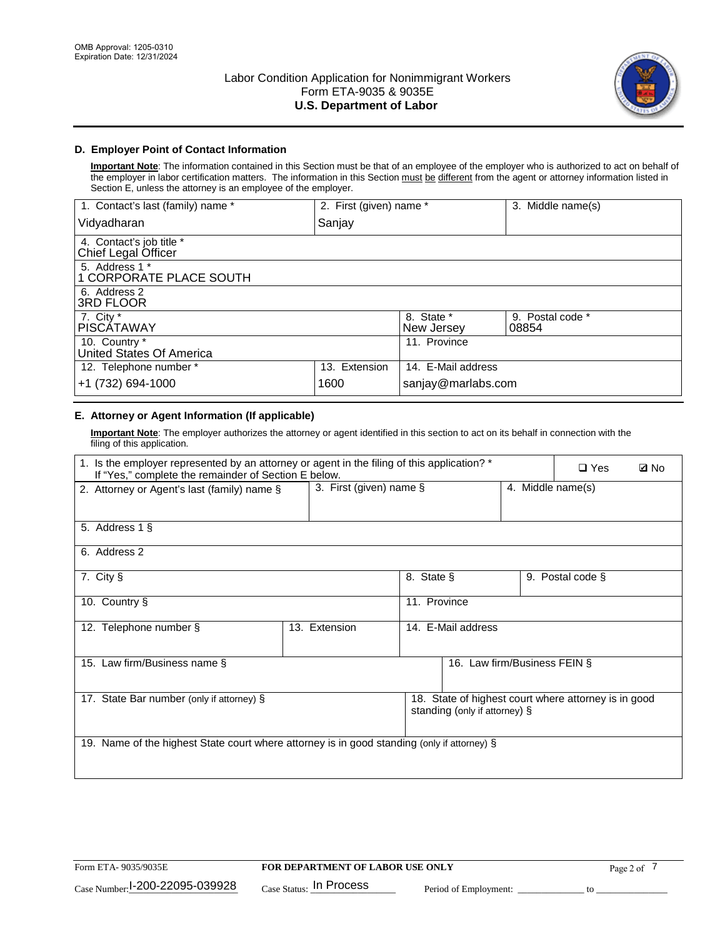

# **D. Employer Point of Contact Information**

**Important Note**: The information contained in this Section must be that of an employee of the employer who is authorized to act on behalf of the employer in labor certification matters. The information in this Section must be different from the agent or attorney information listed in Section E, unless the attorney is an employee of the employer.

| 1. Contact's last (family) name *               | 2. First (given) name * |                          | 3. Middle name(s)         |
|-------------------------------------------------|-------------------------|--------------------------|---------------------------|
| Vidyadharan                                     | Sanjay                  |                          |                           |
| 4. Contact's job title *<br>Chief Legal Officer |                         |                          |                           |
| 5. Address 1 *<br>1 CORPORATE PLACE SOUTH       |                         |                          |                           |
| 6. Address 2<br><b>3RD FLOOR</b>                |                         |                          |                           |
| 7. City *<br><b>PISCÁTAWAY</b>                  |                         | 8. State *<br>New Jersey | 9. Postal code *<br>08854 |
| 10. Country *<br>United States Of America       |                         | 11. Province             |                           |
| 12. Telephone number *                          | 13. Extension           | 14. E-Mail address       |                           |
| +1 (732) 694-1000                               | 1600                    | sanjay@marlabs.com       |                           |

# **E. Attorney or Agent Information (If applicable)**

**Important Note**: The employer authorizes the attorney or agent identified in this section to act on its behalf in connection with the filing of this application.

| 1. Is the employer represented by an attorney or agent in the filing of this application? *<br>If "Yes," complete the remainder of Section E below. |               |                                                 |                               |  | $\Box$ Yes                                           | <b>Ø</b> No |
|-----------------------------------------------------------------------------------------------------------------------------------------------------|---------------|-------------------------------------------------|-------------------------------|--|------------------------------------------------------|-------------|
| 2. Attorney or Agent's last (family) name §                                                                                                         |               | 3. First (given) name $\S$<br>4. Middle name(s) |                               |  |                                                      |             |
| 5. Address 1 §                                                                                                                                      |               |                                                 |                               |  |                                                      |             |
| 6. Address 2                                                                                                                                        |               |                                                 |                               |  |                                                      |             |
| 7. City §                                                                                                                                           |               | 8. State §                                      |                               |  | 9. Postal code §                                     |             |
| 10. Country §                                                                                                                                       |               | 11. Province                                    |                               |  |                                                      |             |
| 12. Telephone number §                                                                                                                              | 13. Extension | 14. E-Mail address                              |                               |  |                                                      |             |
| 15. Law firm/Business name §                                                                                                                        |               |                                                 | 16. Law firm/Business FEIN §  |  |                                                      |             |
| 17. State Bar number (only if attorney) §                                                                                                           |               |                                                 | standing (only if attorney) § |  | 18. State of highest court where attorney is in good |             |
| 19. Name of the highest State court where attorney is in good standing (only if attorney) §                                                         |               |                                                 |                               |  |                                                      |             |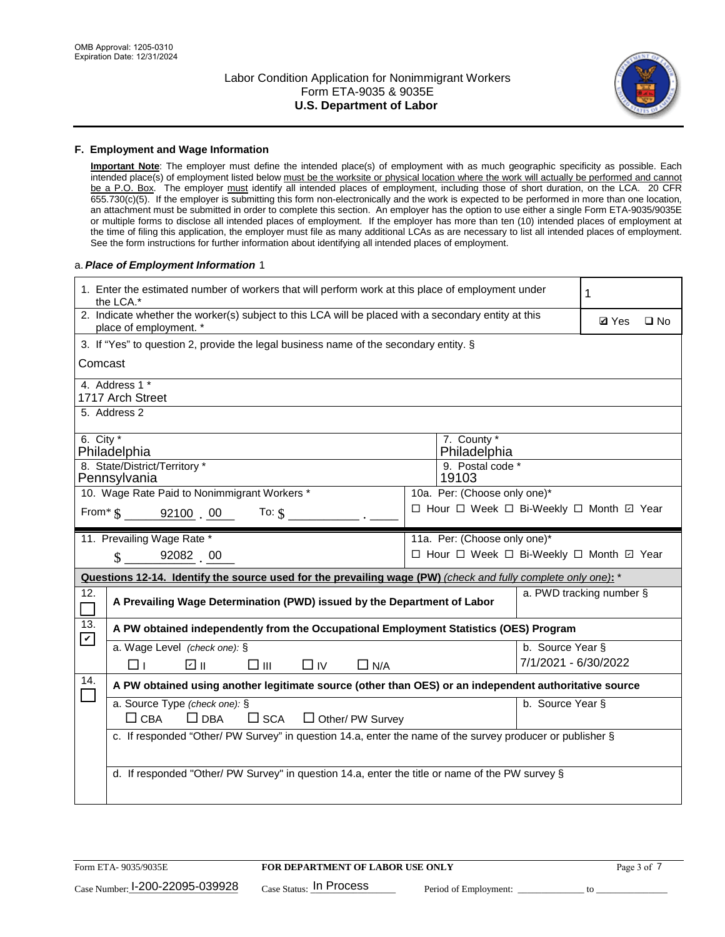

### **F. Employment and Wage Information**

**Important Note**: The employer must define the intended place(s) of employment with as much geographic specificity as possible. Each intended place(s) of employment listed below must be the worksite or physical location where the work will actually be performed and cannot be a P.O. Box. The employer must identify all intended places of employment, including those of short duration, on the LCA. 20 CFR 655.730(c)(5). If the employer is submitting this form non-electronically and the work is expected to be performed in more than one location, an attachment must be submitted in order to complete this section. An employer has the option to use either a single Form ETA-9035/9035E or multiple forms to disclose all intended places of employment. If the employer has more than ten (10) intended places of employment at the time of filing this application, the employer must file as many additional LCAs as are necessary to list all intended places of employment. See the form instructions for further information about identifying all intended places of employment.

### a.*Place of Employment Information* 1

| 1. Enter the estimated number of workers that will perform work at this place of employment under<br>the LCA.*                 | 1                                        |                              |  |  |  |  |  |
|--------------------------------------------------------------------------------------------------------------------------------|------------------------------------------|------------------------------|--|--|--|--|--|
| 2. Indicate whether the worker(s) subject to this LCA will be placed with a secondary entity at this<br>place of employment. * |                                          | <b>Ø</b> Yes<br>$\square$ No |  |  |  |  |  |
| 3. If "Yes" to question 2, provide the legal business name of the secondary entity. §                                          |                                          |                              |  |  |  |  |  |
| Comcast                                                                                                                        |                                          |                              |  |  |  |  |  |
| 4. Address 1 *<br>1717 Arch Street                                                                                             |                                          |                              |  |  |  |  |  |
| 5. Address 2                                                                                                                   |                                          |                              |  |  |  |  |  |
| 6. City $*$<br>Philadelphia                                                                                                    | 7. County *<br>Philadelphia              |                              |  |  |  |  |  |
| 8. State/District/Territory *<br>Pennsylvania                                                                                  | 9. Postal code *<br>19103                |                              |  |  |  |  |  |
| 10. Wage Rate Paid to Nonimmigrant Workers *                                                                                   | 10a. Per: (Choose only one)*             |                              |  |  |  |  |  |
| □ Hour □ Week □ Bi-Weekly □ Month ☑ Year<br>From* \$ 92100 00<br>To: $$$                                                       |                                          |                              |  |  |  |  |  |
| 11. Prevailing Wage Rate *                                                                                                     | 11a. Per: (Choose only one)*             |                              |  |  |  |  |  |
| $\sin 92082$ 00                                                                                                                | □ Hour □ Week □ Bi-Weekly □ Month ☑ Year |                              |  |  |  |  |  |
| Questions 12-14. Identify the source used for the prevailing wage (PW) (check and fully complete only one): *                  |                                          |                              |  |  |  |  |  |
| 12.<br>A Prevailing Wage Determination (PWD) issued by the Department of Labor<br>$\Box$                                       |                                          | a. PWD tracking number §     |  |  |  |  |  |
| 13.<br>A PW obtained independently from the Occupational Employment Statistics (OES) Program<br>$\mathbf v$                    |                                          |                              |  |  |  |  |  |
| a. Wage Level (check one): §                                                                                                   | b. Source Year §                         |                              |  |  |  |  |  |
| பெ<br>□⊪<br>$\Box$ IV<br>$\Box$ N/A<br>□⊥                                                                                      | 7/1/2021 - 6/30/2022                     |                              |  |  |  |  |  |
| 14.<br>A PW obtained using another legitimate source (other than OES) or an independent authoritative source                   |                                          |                              |  |  |  |  |  |
| a. Source Type (check one): §                                                                                                  | b. Source Year §                         |                              |  |  |  |  |  |
| $\Box$ CBA<br>$\Box$ DBA<br>$\square$ SCA<br>$\Box$ Other/ PW Survey                                                           |                                          |                              |  |  |  |  |  |
| c. If responded "Other/ PW Survey" in question 14.a, enter the name of the survey producer or publisher §                      |                                          |                              |  |  |  |  |  |
|                                                                                                                                |                                          |                              |  |  |  |  |  |
| d. If responded "Other/ PW Survey" in question 14.a, enter the title or name of the PW survey §                                |                                          |                              |  |  |  |  |  |
|                                                                                                                                |                                          |                              |  |  |  |  |  |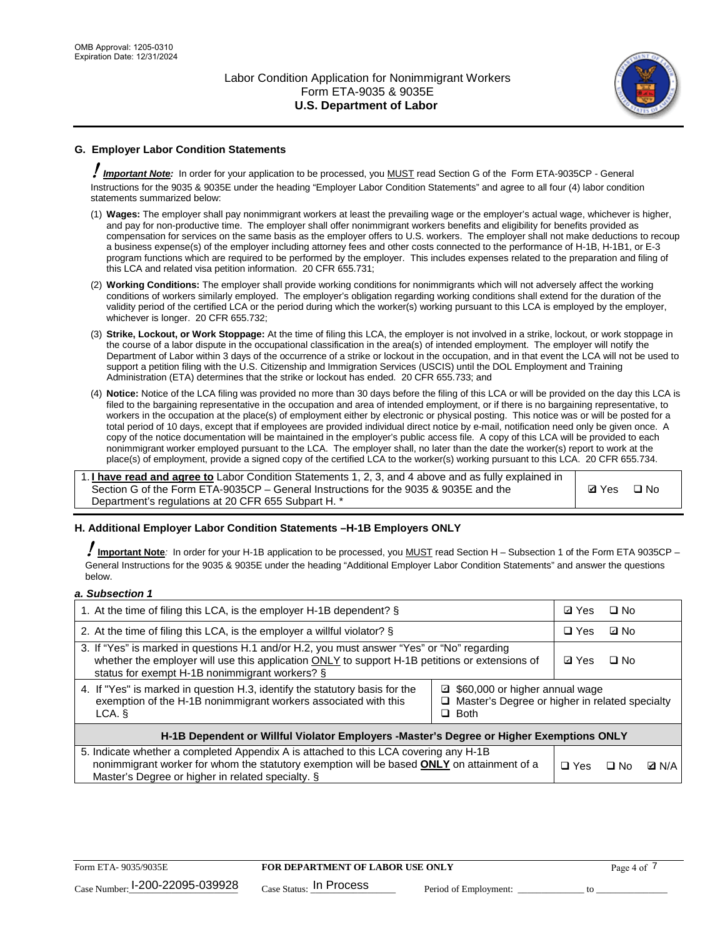

# **G. Employer Labor Condition Statements**

! *Important Note:* In order for your application to be processed, you MUST read Section G of the Form ETA-9035CP - General Instructions for the 9035 & 9035E under the heading "Employer Labor Condition Statements" and agree to all four (4) labor condition statements summarized below:

- (1) **Wages:** The employer shall pay nonimmigrant workers at least the prevailing wage or the employer's actual wage, whichever is higher, and pay for non-productive time. The employer shall offer nonimmigrant workers benefits and eligibility for benefits provided as compensation for services on the same basis as the employer offers to U.S. workers. The employer shall not make deductions to recoup a business expense(s) of the employer including attorney fees and other costs connected to the performance of H-1B, H-1B1, or E-3 program functions which are required to be performed by the employer. This includes expenses related to the preparation and filing of this LCA and related visa petition information. 20 CFR 655.731;
- (2) **Working Conditions:** The employer shall provide working conditions for nonimmigrants which will not adversely affect the working conditions of workers similarly employed. The employer's obligation regarding working conditions shall extend for the duration of the validity period of the certified LCA or the period during which the worker(s) working pursuant to this LCA is employed by the employer, whichever is longer. 20 CFR 655.732;
- (3) **Strike, Lockout, or Work Stoppage:** At the time of filing this LCA, the employer is not involved in a strike, lockout, or work stoppage in the course of a labor dispute in the occupational classification in the area(s) of intended employment. The employer will notify the Department of Labor within 3 days of the occurrence of a strike or lockout in the occupation, and in that event the LCA will not be used to support a petition filing with the U.S. Citizenship and Immigration Services (USCIS) until the DOL Employment and Training Administration (ETA) determines that the strike or lockout has ended. 20 CFR 655.733; and
- (4) **Notice:** Notice of the LCA filing was provided no more than 30 days before the filing of this LCA or will be provided on the day this LCA is filed to the bargaining representative in the occupation and area of intended employment, or if there is no bargaining representative, to workers in the occupation at the place(s) of employment either by electronic or physical posting. This notice was or will be posted for a total period of 10 days, except that if employees are provided individual direct notice by e-mail, notification need only be given once. A copy of the notice documentation will be maintained in the employer's public access file. A copy of this LCA will be provided to each nonimmigrant worker employed pursuant to the LCA. The employer shall, no later than the date the worker(s) report to work at the place(s) of employment, provide a signed copy of the certified LCA to the worker(s) working pursuant to this LCA. 20 CFR 655.734.

1. **I have read and agree to** Labor Condition Statements 1, 2, 3, and 4 above and as fully explained in Section G of the Form ETA-9035CP – General Instructions for the 9035 & 9035E and the Department's regulations at 20 CFR 655 Subpart H. \*

**Ø**Yes ロNo

### **H. Additional Employer Labor Condition Statements –H-1B Employers ONLY**

!**Important Note***:* In order for your H-1B application to be processed, you MUST read Section H – Subsection 1 of the Form ETA 9035CP – General Instructions for the 9035 & 9035E under the heading "Additional Employer Labor Condition Statements" and answer the questions below.

#### *a. Subsection 1*

| 1. At the time of filing this LCA, is the employer H-1B dependent? §                                                                                                                                                                                               | ⊡ Yes | $\Box$ No  |           |              |  |
|--------------------------------------------------------------------------------------------------------------------------------------------------------------------------------------------------------------------------------------------------------------------|-------|------------|-----------|--------------|--|
| 2. At the time of filing this LCA, is the employer a willful violator? $\S$                                                                                                                                                                                        |       | $\Box$ Yes | ⊡ No      |              |  |
| 3. If "Yes" is marked in questions H.1 and/or H.2, you must answer "Yes" or "No" regarding<br>whether the employer will use this application ONLY to support H-1B petitions or extensions of<br>status for exempt H-1B nonimmigrant workers? §                     |       |            | $\Box$ No |              |  |
| 4. If "Yes" is marked in question H.3, identify the statutory basis for the<br>□ \$60,000 or higher annual wage<br>exemption of the H-1B nonimmigrant workers associated with this<br>$\Box$ Master's Degree or higher in related specialty<br>$\Box$ Both<br>LCA. |       |            |           |              |  |
| H-1B Dependent or Willful Violator Employers -Master's Degree or Higher Exemptions ONLY                                                                                                                                                                            |       |            |           |              |  |
| 5. Indicate whether a completed Appendix A is attached to this LCA covering any H-1B<br>nonimmigrant worker for whom the statutory exemption will be based <b>ONLY</b> on attainment of a<br>Master's Degree or higher in related specialty. §                     |       |            | ⊡ No      | <b>D</b> N/A |  |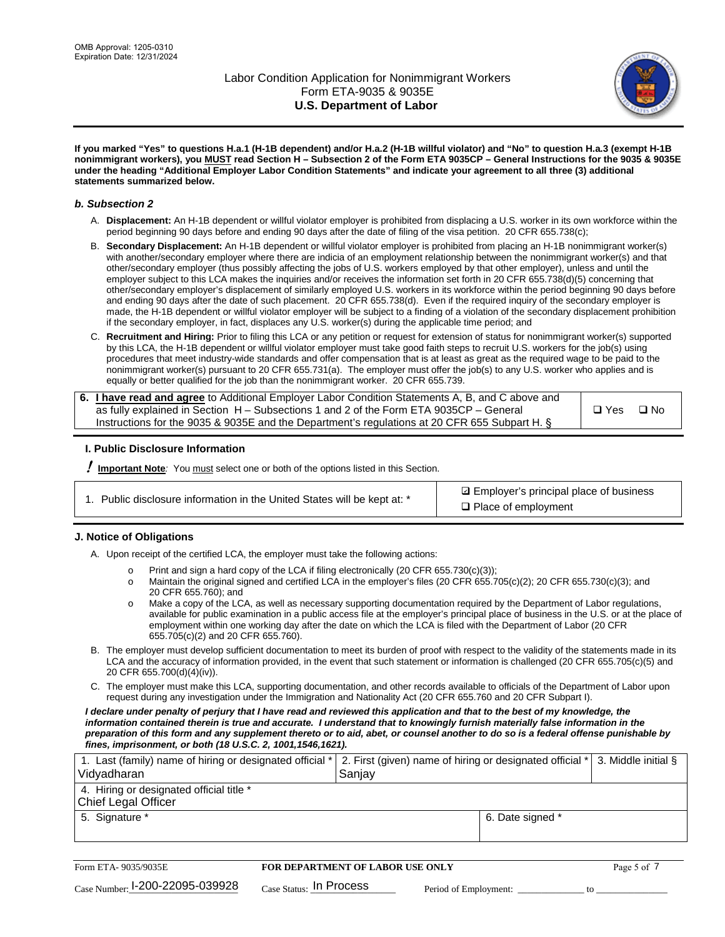

**If you marked "Yes" to questions H.a.1 (H-1B dependent) and/or H.a.2 (H-1B willful violator) and "No" to question H.a.3 (exempt H-1B nonimmigrant workers), you MUST read Section H – Subsection 2 of the Form ETA 9035CP – General Instructions for the 9035 & 9035E under the heading "Additional Employer Labor Condition Statements" and indicate your agreement to all three (3) additional statements summarized below.**

### *b. Subsection 2*

- A. **Displacement:** An H-1B dependent or willful violator employer is prohibited from displacing a U.S. worker in its own workforce within the period beginning 90 days before and ending 90 days after the date of filing of the visa petition. 20 CFR 655.738(c);
- B. **Secondary Displacement:** An H-1B dependent or willful violator employer is prohibited from placing an H-1B nonimmigrant worker(s) with another/secondary employer where there are indicia of an employment relationship between the nonimmigrant worker(s) and that other/secondary employer (thus possibly affecting the jobs of U.S. workers employed by that other employer), unless and until the employer subject to this LCA makes the inquiries and/or receives the information set forth in 20 CFR 655.738(d)(5) concerning that other/secondary employer's displacement of similarly employed U.S. workers in its workforce within the period beginning 90 days before and ending 90 days after the date of such placement. 20 CFR 655.738(d). Even if the required inquiry of the secondary employer is made, the H-1B dependent or willful violator employer will be subject to a finding of a violation of the secondary displacement prohibition if the secondary employer, in fact, displaces any U.S. worker(s) during the applicable time period; and
- C. **Recruitment and Hiring:** Prior to filing this LCA or any petition or request for extension of status for nonimmigrant worker(s) supported by this LCA, the H-1B dependent or willful violator employer must take good faith steps to recruit U.S. workers for the job(s) using procedures that meet industry-wide standards and offer compensation that is at least as great as the required wage to be paid to the nonimmigrant worker(s) pursuant to 20 CFR 655.731(a). The employer must offer the job(s) to any U.S. worker who applies and is equally or better qualified for the job than the nonimmigrant worker. 20 CFR 655.739.

| 6. I have read and agree to Additional Employer Labor Condition Statements A, B, and C above and |       |           |
|--------------------------------------------------------------------------------------------------|-------|-----------|
| as fully explained in Section H – Subsections 1 and 2 of the Form ETA 9035CP – General           | □ Yes | $\Box$ No |
| Instructions for the 9035 & 9035E and the Department's regulations at 20 CFR 655 Subpart H. §    |       |           |

### **I. Public Disclosure Information**

! **Important Note***:* You must select one or both of the options listed in this Section.

|  | 1. Public disclosure information in the United States will be kept at: * |  |  |  |
|--|--------------------------------------------------------------------------|--|--|--|
|  |                                                                          |  |  |  |

**sqrt** Employer's principal place of business □ Place of employment

### **J. Notice of Obligations**

A. Upon receipt of the certified LCA, the employer must take the following actions:

- o Print and sign a hard copy of the LCA if filing electronically (20 CFR 655.730(c)(3));<br>
Maintain the original signed and certified LCA in the employer's files (20 CFR 655.7
- Maintain the original signed and certified LCA in the employer's files (20 CFR 655.705(c)(2); 20 CFR 655.730(c)(3); and 20 CFR 655.760); and
- o Make a copy of the LCA, as well as necessary supporting documentation required by the Department of Labor regulations, available for public examination in a public access file at the employer's principal place of business in the U.S. or at the place of employment within one working day after the date on which the LCA is filed with the Department of Labor (20 CFR 655.705(c)(2) and 20 CFR 655.760).
- B. The employer must develop sufficient documentation to meet its burden of proof with respect to the validity of the statements made in its LCA and the accuracy of information provided, in the event that such statement or information is challenged (20 CFR 655.705(c)(5) and 20 CFR 655.700(d)(4)(iv)).
- C. The employer must make this LCA, supporting documentation, and other records available to officials of the Department of Labor upon request during any investigation under the Immigration and Nationality Act (20 CFR 655.760 and 20 CFR Subpart I).

*I declare under penalty of perjury that I have read and reviewed this application and that to the best of my knowledge, the*  information contained therein is true and accurate. I understand that to knowingly furnish materially false information in the *preparation of this form and any supplement thereto or to aid, abet, or counsel another to do so is a federal offense punishable by fines, imprisonment, or both (18 U.S.C. 2, 1001,1546,1621).*

| 1. Last (family) name of hiring or designated official *<br>Vidyadharan | 2. First (given) name of hiring or designated official * 3. Middle initial §<br>Sanjay |                  |  |
|-------------------------------------------------------------------------|----------------------------------------------------------------------------------------|------------------|--|
| 4. Hiring or designated official title *<br>Chief Legal Officer         |                                                                                        |                  |  |
| 5. Signature *                                                          |                                                                                        | 6. Date signed * |  |

| Form ETA-9035/9035E             | FOR DEPARTMENT OF LABOR USE ONLY    |                       |  |
|---------------------------------|-------------------------------------|-----------------------|--|
| Case Number: 1-200-22095-039928 | $_{\text{Case Status:}}$ In Process | Period of Employment: |  |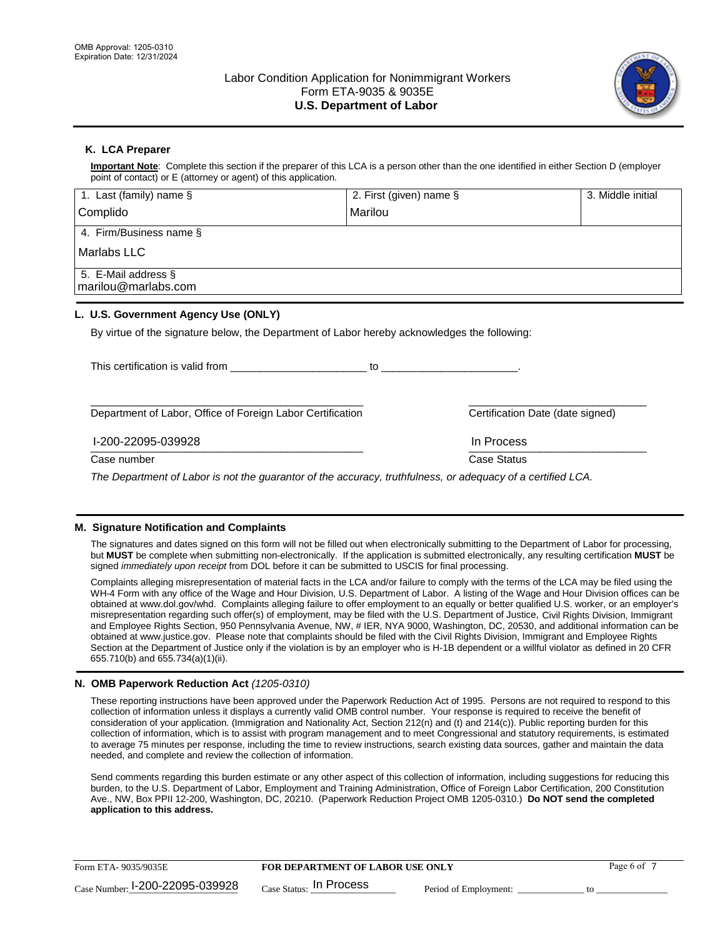

## **K. LCA Preparer**

**Important Note**: Complete this section if the preparer of this LCA is a person other than the one identified in either Section D (employer point of contact) or E (attorney or agent) of this application.

| 1. Last (family) name $\S$                                                                   | 2. First (given) name § |                                  | 3. Middle initial |
|----------------------------------------------------------------------------------------------|-------------------------|----------------------------------|-------------------|
| Complido                                                                                     | Marilou                 |                                  |                   |
| 4. Firm/Business name §                                                                      |                         |                                  |                   |
| Marlabs LLC                                                                                  |                         |                                  |                   |
| 5. E-Mail address §<br>marilou@marlabs.com                                                   |                         |                                  |                   |
| L. U.S. Government Agency Use (ONLY)                                                         |                         |                                  |                   |
| By virtue of the signature below, the Department of Labor hereby acknowledges the following: |                         |                                  |                   |
| This certification is valid from This certification                                          |                         |                                  |                   |
| Department of Labor, Office of Foreign Labor Certification                                   |                         | Certification Date (date signed) |                   |

 $\frac{1111100688}{1111100688}$ I-200-22095-039928 In Process

Case number **Case Status** Case Status **Case Status** 

*The Department of Labor is not the guarantor of the accuracy, truthfulness, or adequacy of a certified LCA.*

### **M. Signature Notification and Complaints**

The signatures and dates signed on this form will not be filled out when electronically submitting to the Department of Labor for processing, but **MUST** be complete when submitting non-electronically. If the application is submitted electronically, any resulting certification **MUST** be signed *immediately upon receipt* from DOL before it can be submitted to USCIS for final processing.

Complaints alleging misrepresentation of material facts in the LCA and/or failure to comply with the terms of the LCA may be filed using the WH-4 Form with any office of the Wage and Hour Division, U.S. Department of Labor. A listing of the Wage and Hour Division offices can be obtained at www.dol.gov/whd. Complaints alleging failure to offer employment to an equally or better qualified U.S. worker, or an employer's misrepresentation regarding such offer(s) of employment, may be filed with the U.S. Department of Justice, Civil Rights Division, Immigrant and Employee Rights Section, 950 Pennsylvania Avenue, NW, # IER, NYA 9000, Washington, DC, 20530, and additional information can be obtained at www.justice.gov. Please note that complaints should be filed with the Civil Rights Division, Immigrant and Employee Rights Section at the Department of Justice only if the violation is by an employer who is H-1B dependent or a willful violator as defined in 20 CFR 655.710(b) and 655.734(a)(1)(ii).

### **N. OMB Paperwork Reduction Act** *(1205-0310)*

These reporting instructions have been approved under the Paperwork Reduction Act of 1995. Persons are not required to respond to this collection of information unless it displays a currently valid OMB control number. Your response is required to receive the benefit of consideration of your application. (Immigration and Nationality Act, Section 212(n) and (t) and 214(c)). Public reporting burden for this collection of information, which is to assist with program management and to meet Congressional and statutory requirements, is estimated to average 75 minutes per response, including the time to review instructions, search existing data sources, gather and maintain the data needed, and complete and review the collection of information.

Send comments regarding this burden estimate or any other aspect of this collection of information, including suggestions for reducing this burden, to the U.S. Department of Labor, Employment and Training Administration, Office of Foreign Labor Certification, 200 Constitution Ave., NW, Box PPII 12-200, Washington, DC, 20210. (Paperwork Reduction Project OMB 1205-0310.) **Do NOT send the completed application to this address.**

| Form ETA-9035/9035E             | <b>FOR DEPARTMENT OF LABOR USE ONLY</b> | Page 6 of             |  |
|---------------------------------|-----------------------------------------|-----------------------|--|
| Case Number: 1-200-22095-039928 | $_{\text{Case Status:}}$ In Process     | Period of Employment: |  |